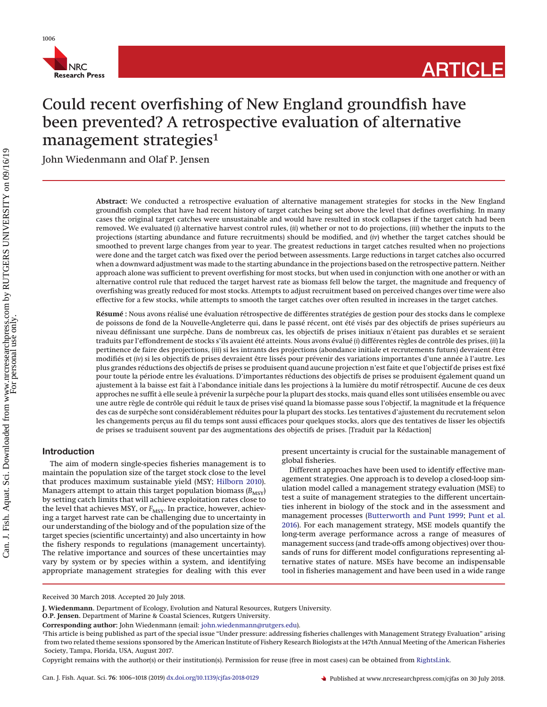

# **ARTICLE**

# Could recent overfishing of New England groundfish have been prevented? A retrospective evaluation of alternative management strategies<sup>1</sup>

John Wiedenmann and Olaf P. Jensen

**Abstract:** We conducted a retrospective evaluation of alternative management strategies for stocks in the New England groundfish complex that have had recent history of target catches being set above the level that defines overfishing. In many cases the original target catches were unsustainable and would have resulted in stock collapses if the target catch had been removed. We evaluated (*i*) alternative harvest control rules, (*ii*) whether or not to do projections, (*iii*) whether the inputs to the projections (starting abundance and future recruitments) should be modified, and (*iv*) whether the target catches should be smoothed to prevent large changes from year to year. The greatest reductions in target catches resulted when no projections were done and the target catch was fixed over the period between assessments. Large reductions in target catches also occurred when a downward adjustment was made to the starting abundance in the projections based on the retrospective pattern. Neither approach alone was sufficient to prevent overfishing for most stocks, but when used in conjunction with one another or with an alternative control rule that reduced the target harvest rate as biomass fell below the target, the magnitude and frequency of overfishing was greatly reduced for most stocks. Attempts to adjust recruitment based on perceived changes over time were also effective for a few stocks, while attempts to smooth the target catches over often resulted in increases in the target catches.

**Résumé :** Nous avons réalisé une évaluation rétrospective de différentes stratégies de gestion pour des stocks dans le complexe de poissons de fond de la Nouvelle-Angleterre qui, dans le passé récent, ont été visés par des objectifs de prises supérieurs au niveau définissant une surpêche. Dans de nombreux cas, les objectifs de prises initiaux n'étaient pas durables et se seraient traduits par l'effondrement de stocks s'ils avaient été atteints. Nous avons évalué (*i*) différentes règles de contrôle des prises, (*ii*) la pertinence de faire des projections, (*iii*) si les intrants des projections (abondance initiale et recrutements futurs) devraient être modifiés et (*iv*) si les objectifs de prises devraient être lissés pour prévenir des variations importantes d'une année à l'autre. Les plus grandes réductions des objectifs de prises se produisent quand aucune projection n'est faite et que l'objectif de prises est fixé pour toute la période entre les évaluations. D'importantes réductions des objectifs de prises se produisent également quand un ajustement à la baisse est fait à l'abondance initiale dans les projections à la lumière du motif rétrospectif. Aucune de ces deux approches ne suffit à elle seule à prévenir la surpêche pour la plupart des stocks, mais quand elles sont utilisées ensemble ou avec une autre règle de contrôle qui réduit le taux de prises visé quand la biomasse passe sous l'objectif, la magnitude et la fréquence des cas de surpêche sont considérablement réduites pour la plupart des stocks. Les tentatives d'ajustement du recrutement selon les changements perçus au fil du temps sont aussi efficaces pour quelques stocks, alors que des tentatives de lisser les objectifs de prises se traduisent souvent par des augmentations des objectifs de prises. [Traduit par la Rédaction]

# **Introduction**

The aim of modern single-species fisheries management is to maintain the population size of the target stock close to the level that produces maximum sustainable yield (MSY; [Hilborn 2010\)](#page-12-0). Managers attempt to attain this target population biomass (B<sub>MSY</sub>) by setting catch limits that will achieve exploitation rates close to the level that achieves MSY, or *F<sub>MSY</sub>*. In practice, however, achieving a target harvest rate can be challenging due to uncertainty in our understanding of the biology and of the population size of the target species (scientific uncertainty) and also uncertainty in how the fishery responds to regulations (management uncertainty). The relative importance and sources of these uncertainties may vary by system or by species within a system, and identifying appropriate management strategies for dealing with this ever present uncertainty is crucial for the sustainable management of global fisheries.

Different approaches have been used to identify effective management strategies. One approach is to develop a closed-loop simulation model called a management strategy evaluation (MSE) to test a suite of management strategies to the different uncertainties inherent in biology of the stock and in the assessment and management processes [\(Butterworth and Punt 1999;](#page-12-1) [Punt et al.](#page-12-2) [2016\)](#page-12-2). For each management strategy, MSE models quantify the long-term average performance across a range of measures of management success (and trade-offs among objectives) over thousands of runs for different model configurations representing alternative states of nature. MSEs have become an indispensable tool in fisheries management and have been used in a wide range

Copyright remains with the author(s) or their institution(s). Permission for reuse (free in most cases) can be obtained from [RightsLink.](http://www.nrcresearchpress.com/page/authors/services/reprints)

Received 30 March 2018. Accepted 20 July 2018.

**J. Wiedenmann.** Department of Ecology, Evolution and Natural Resources, Rutgers University.

**O.P. Jensen.** Department of Marine & Coastal Sciences, Rutgers University.

**Corresponding author:** John Wiedenmann (email: [john.wiedenmann@rutgers.edu\)](mailto:john.wiedenmann@rutgers.edu).

<sup>1</sup> This article is being published as part of the special issue "Under pressure: addressing fisheries challenges with Management Strategy Evaluation" arising from two related theme sessions sponsored by the American Institute of Fishery Research Biologists at the 147th Annual Meeting of the American Fisheries Society, Tampa, Florida, USA, August 2017.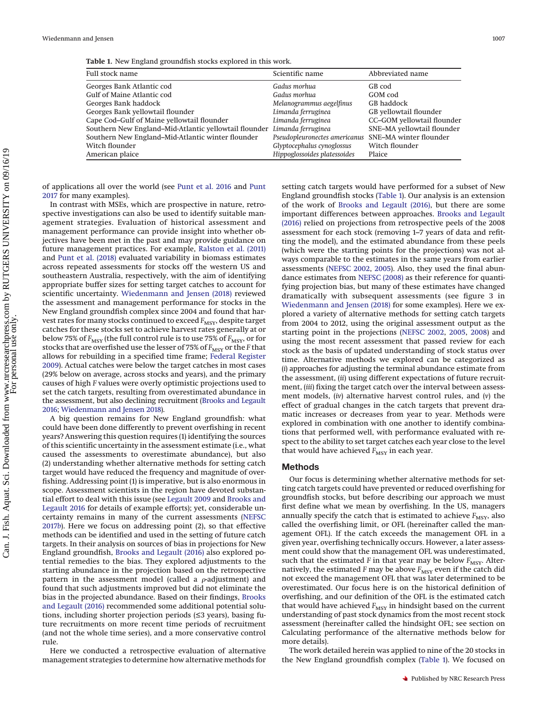<span id="page-1-0"></span>**Table 1.** New England groundfish stocks explored in this work.

| Full stock name                                                          | Scientific name               | Abbreviated name           |
|--------------------------------------------------------------------------|-------------------------------|----------------------------|
| Georges Bank Atlantic cod                                                | Gadus morhua                  | GB cod                     |
| Gulf of Maine Atlantic cod                                               | Gadus morhua                  | GOM cod                    |
| Georges Bank haddock                                                     | Melanogrammus aegelfinus      | GB haddock                 |
| Georges Bank yellowtail flounder                                         | Limanda ferruginea            | GB yellowtail flounder     |
| Cape Cod-Gulf of Maine yellowtail flounder                               | Limanda ferruginea            | CC-GOM yellowtail flounder |
| Southern New England–Mid-Atlantic yellowtail flounder Limanda ferruginea |                               | SNE-MA yellowtail flounder |
| Southern New England-Mid-Atlantic winter flounder                        | Pseudopleuronectes americanus | SNE-MA winter flounder     |
| Witch flounder                                                           | Glyptocephalus cynoglossus    | Witch flounder             |
| American plaice                                                          | Hippoglossoides platessoides  | Plaice                     |

of applications all over the world (see [Punt et al. 2016](#page-12-2) and [Punt](#page-12-3) [2017](#page-12-3) for many examples).

In contrast with MSEs, which are prospective in nature, retrospective investigations can also be used to identify suitable management strategies. Evaluation of historical assessment and management performance can provide insight into whether objectives have been met in the past and may provide guidance on future management practices. For example, [Ralston et al. \(2011\)](#page-12-4) and [Punt et al. \(2018\)](#page-12-5) evaluated variability in biomass estimates across repeated assessments for stocks off the western US and southeastern Australia, respectively, with the aim of identifying appropriate buffer sizes for setting target catches to account for scientific uncertainty. [Wiedenmann and Jensen \(2018\)](#page-12-6) reviewed the assessment and management performance for stocks in the New England groundfish complex since 2004 and found that harvest rates for many stocks continued to exceed *F<sub>MSY</sub>*, despite target catches for these stocks set to achieve harvest rates generally at or below 75% of *F<sub>MSY</sub>* (the full control rule is to use 75% of *F<sub>MSY</sub>*, or for stocks that are overfished use the lesser of 75% of  $F_{\rm MSY}$  or the *F* that allows for rebuilding in a specified time frame; [Federal Register](#page-12-7) [2009\)](#page-12-7). Actual catches were below the target catches in most cases (29% below on average, across stocks and years), and the primary causes of high *F* values were overly optimistic projections used to set the catch targets, resulting from overestimated abundance in the assessment, but also declining recruitment [\(Brooks and Legault](#page-12-8) [2016;](#page-12-8) [Wiedenmann and Jensen 2018\)](#page-12-6).

A big question remains for New England groundfish: what could have been done differently to prevent overfishing in recent years? Answering this question requires (1) identifying the sources of this scientific uncertainty in the assessment estimate (i.e., what caused the assessments to overestimate abundance), but also (2) understanding whether alternative methods for setting catch target would have reduced the frequency and magnitude of overfishing. Addressing point (1) is imperative, but is also enormous in scope. Assessment scientists in the region have devoted substantial effort to deal with this issue (see [Legault 2009](#page-12-9) and [Brooks and](#page-12-8) [Legault 2016](#page-12-8) for details of example efforts); yet, considerable uncertainty remains in many of the current assessments [\(NEFSC](#page-12-10) [2017](#page-12-10)*b*). Here we focus on addressing point (2), so that effective methods can be identified and used in the setting of future catch targets. In their analysis on sources of bias in projections for New England groundfish, [Brooks and Legault \(2016\)](#page-12-8) also explored potential remedies to the bias. They explored adjustments to the starting abundance in the projection based on the retrospective pattern in the assessment model (called a  $\rho$ -adjustment) and found that such adjustments improved but did not eliminate the bias in the projected abundance. Based on their findings, [Brooks](#page-12-8) [and Legault \(2016\)](#page-12-8) recommended some additional potential solutions, including shorter projection periods (≤3 years), basing future recruitments on more recent time periods of recruitment (and not the whole time series), and a more conservative control rule.

Here we conducted a retrospective evaluation of alternative management strategies to determine how alternative methods for

setting catch targets would have performed for a subset of New England groundfish stocks [\(Table 1\)](#page-1-0). Our analysis is an extension of the work of [Brooks and Legault \(2016\),](#page-12-8) but there are some important differences between approaches. [Brooks and Legault](#page-12-8) [\(2016\)](#page-12-8) relied on projections from retrospective peels of the 2008 assessment for each stock (removing 1–7 years of data and refitting the model), and the estimated abundance from these peels (which were the starting points for the projections) was not always comparable to the estimates in the same years from earlier assessments [\(NEFSC 2002,](#page-12-11) [2005\)](#page-12-12). Also, they used the final abundance estimates from [NEFSC \(2008\)](#page-12-13) as their reference for quantifying projection bias, but many of these estimates have changed dramatically with subsequent assessments (see figure 3 in [Wiedenmann and Jensen \(2018\)](#page-12-6) for some examples). Here we explored a variety of alternative methods for setting catch targets from 2004 to 2012, using the original assessment output as the starting point in the projections [\(NEFSC 2002,](#page-12-11) [2005,](#page-12-12) [2008\)](#page-12-13) and using the most recent assessment that passed review for each stock as the basis of updated understanding of stock status over time. Alternative methods we explored can be categorized as (*i*) approaches for adjusting the terminal abundance estimate from the assessment, (*ii*) using different expectations of future recruitment, (*iii*) fixing the target catch over the interval between assessment models, (*iv*) alternative harvest control rules, and (*v*) the effect of gradual changes in the catch targets that prevent dramatic increases or decreases from year to year. Methods were explored in combination with one another to identify combinations that performed well, with performance evaluated with respect to the ability to set target catches each year close to the level that would have achieved  $F_{\rm MSY}$  in each year.

# **Methods**

Our focus is determining whether alternative methods for setting catch targets could have prevented or reduced overfishing for groundfish stocks, but before describing our approach we must first define what we mean by overfishing. In the US, managers annually specify the catch that is estimated to achieve  $F_{MSY}$ , also called the overfishing limit, or OFL (hereinafter called the management OFL). If the catch exceeds the management OFL in a given year, overfishing technically occurs. However, a later assessment could show that the management OFL was underestimated, such that the estimated  $F$  in that year may be below  $F_{\text{MSY}}$ . Alternatively, the estimated  $F$  may be above  $F_{\text{MSY}}$  even if the catch did not exceed the management OFL that was later determined to be overestimated. Our focus here is on the historical definition of overfishing, and our definition of the OFL is the estimated catch that would have achieved  $F_{\text{MSY}}$  in hindsight based on the current understanding of past stock dynamics from the most recent stock assessment (hereinafter called the hindsight OFL; see section on Calculating performance of the alternative methods below for more details).

The work detailed herein was applied to nine of the 20 stocks in the New England groundfish complex [\(Table 1\)](#page-1-0). We focused on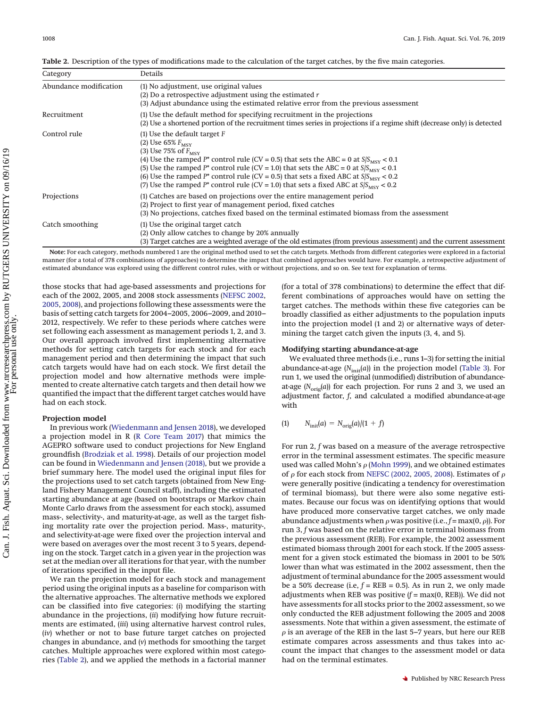<span id="page-2-0"></span>**Table 2.** Description of the types of modifications made to the calculation of the target catches, by the five main categories.

| Category               | Details                                                                                                                                                                                                                                                                                                                                                                                                                                                                                                                         |
|------------------------|---------------------------------------------------------------------------------------------------------------------------------------------------------------------------------------------------------------------------------------------------------------------------------------------------------------------------------------------------------------------------------------------------------------------------------------------------------------------------------------------------------------------------------|
| Abundance modification | (1) No adjustment, use original values<br>(2) Do a retrospective adjustment using the estimated $r$<br>(3) Adjust abundance using the estimated relative error from the previous assessment                                                                                                                                                                                                                                                                                                                                     |
| Recruitment            | (1) Use the default method for specifying recruitment in the projections<br>(2) Use a shortened portion of the recruitment times series in projections if a regime shift (decrease only) is detected                                                                                                                                                                                                                                                                                                                            |
| Control rule           | $(1)$ Use the default target F<br>(2) Use $65\%$ $F_{\text{MSV}}$<br>(3) Use 75% of $F_{\text{MSV}}$<br>(4) Use the ramped P <sup>*</sup> control rule (CV = 0.5) that sets the ABC = 0 at $S/S_{\text{MSV}}$ < 0.1<br>(5) Use the ramped $P^*$ control rule (CV = 1.0) that sets the ABC = 0 at $S/S_{\text{MSV}}$ < 0.1<br>(6) Use the ramped $P^*$ control rule (CV = 0.5) that sets a fixed ABC at $S/S_{\rm MSY}$ < 0.2<br>(7) Use the ramped P* control rule (CV = 1.0) that sets a fixed ABC at $S/S_{\text{MSV}}$ < 0.2 |
| Projections            | (1) Catches are based on projections over the entire management period<br>(2) Project to first year of management period, fixed catches<br>(3) No projections, catches fixed based on the terminal estimated biomass from the assessment                                                                                                                                                                                                                                                                                        |
| Catch smoothing        | (1) Use the original target catch<br>(2) Only allow catches to change by 20% annually<br>(3) Target catches are a weighted average of the old estimates (from previous assessment) and the current assessment                                                                                                                                                                                                                                                                                                                   |

**Note:** For each category, methods numbered 1 are the original method used to set the catch targets. Methods from different categories were explored in a factorial manner (for a total of 378 combinations of approaches) to determine the impact that combined approaches would have. For example, a retrospective adjustment of estimated abundance was explored using the different control rules, with or without projections, and so on. See text for explanation of terms.

those stocks that had age-based assessments and projections for each of the 2002, 2005, and 2008 stock assessments [\(NEFSC 2002,](#page-12-11) [2005,](#page-12-12) [2008\)](#page-12-13), and projections following these assessments were the basis of setting catch targets for 2004–2005, 2006–2009, and 2010– 2012, respectively. We refer to these periods where catches were set following each assessment as management periods 1, 2, and 3. Our overall approach involved first implementing alternative methods for setting catch targets for each stock and for each management period and then determining the impact that such catch targets would have had on each stock. We first detail the projection model and how alternative methods were implemented to create alternative catch targets and then detail how we quantified the impact that the different target catches would have had on each stock.

#### **Projection model**

In previous work [\(Wiedenmann and Jensen 2018\)](#page-12-6), we developed a projection model in R [\(R Core Team 2017\)](#page-12-14) that mimics the AGEPRO software used to conduct projections for New England groundfish [\(Brodziak et al. 1998\)](#page-12-15). Details of our projection model can be found in [Wiedenmann and Jensen \(2018\),](#page-12-6) but we provide a brief summary here. The model used the original input files for the projections used to set catch targets (obtained from New England Fishery Management Council staff), including the estimated starting abundance at age (based on bootstraps or Markov chain Monte Carlo draws from the assessment for each stock), assumed mass-, selectivity-, and maturity-at-age, as well as the target fishing mortality rate over the projection period. Mass-, maturity-, and selectivity-at-age were fixed over the projection interval and were based on averages over the most recent 3 to 5 years, depending on the stock. Target catch in a given year in the projection was set at the median over all iterations for that year, with the number of iterations specified in the input file.

We ran the projection model for each stock and management period using the original inputs as a baseline for comparison with the alternative approaches. The alternative methods we explored can be classified into five categories: (*i*) modifying the starting abundance in the projections, (*ii*) modifying how future recruitments are estimated, (*iii*) using alternative harvest control rules, (*iv*) whether or not to base future target catches on projected changes in abundance, and (*v*) methods for smoothing the target catches. Multiple approaches were explored within most categories [\(Table 2\)](#page-2-0), and we applied the methods in a factorial manner

(for a total of 378 combinations) to determine the effect that different combinations of approaches would have on setting the target catches. The methods within these five categories can be broadly classified as either adjustments to the population inputs into the projection model (1 and 2) or alternative ways of determining the target catch given the inputs (3, 4, and 5).

#### **Modifying starting abundance-at-age**

We evaluated three methods (i.e., runs 1–3) for setting the initial abundance-at-age  $(N<sub>init</sub>(a))$  in the projection model [\(Table 3\)](#page-3-0). For run 1, we used the original (unmodified) distribution of abundanceat-age  $(N_{\text{orig}}(a))$  for each projection. For runs 2 and 3, we used an adjustment factor, *f*, and calculated a modified abundance-at-age with

$$
(1) \qquad N_{\text{init}}(a) = N_{\text{orig}}(a)/(1+f)
$$

For run 2, *f* was based on a measure of the average retrospective error in the terminal assessment estimates. The specific measure used was called Mohn's  $\rho$  [\(Mohn 1999\)](#page-12-16), and we obtained estimates of  $\rho$  for each stock from [NEFSC \(2002,](#page-12-11) [2005,](#page-12-12) [2008\)](#page-12-13). Estimates of  $\rho$ were generally positive (indicating a tendency for overestimation of terminal biomass), but there were also some negative estimates. Because our focus was on identifying options that would have produced more conservative target catches, we only made abundance adjustments when  $\rho$  was positive (i.e.,  $f = \max(0, \rho)$ ). For run 3, *f* was based on the relative error in terminal biomass from the previous assessment (REB). For example, the 2002 assessment estimated biomass through 2001 for each stock. If the 2005 assessment for a given stock estimated the biomass in 2001 to be 50% lower than what was estimated in the 2002 assessment, then the adjustment of terminal abundance for the 2005 assessment would be a 50% decrease (i.e,  $f = \text{REB} = 0.5$ ). As in run 2, we only made adjustments when REB was positive (*f* = max(0, REB)). We did not have assessments for all stocks prior to the 2002 assessment, so we only conducted the REB adjustment following the 2005 and 2008 assessments. Note that within a given assessment, the estimate of  $\rho$  is an average of the REB in the last 5–7 years, but here our REB estimate compares across assessments and thus takes into account the impact that changes to the assessment model or data had on the terminal estimates.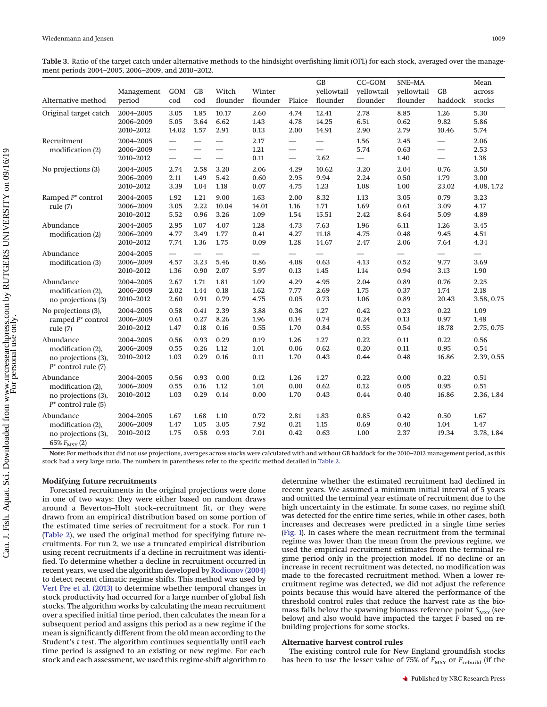<span id="page-3-0"></span>**Table 3.** Ratio of the target catch under alternative methods to the hindsight overfishing limit (OFL) for each stock, averaged over the management periods 2004–2005, 2006–2009, and 2010–2012.

| Alternative method                                                              | Management<br>period                | GOM<br>cod                           | GB<br>cod                                            | Witch<br>flounder        | Winter<br>flounder                       | Plaice                                                    | GB<br>yellowtail<br>flounder | $CC$ -GOM<br>yellowtail<br>flounder      | SNE-MA<br>yellowtail<br>flounder         | <b>GB</b><br>haddock                     | Mean<br>across<br>stocks   |
|---------------------------------------------------------------------------------|-------------------------------------|--------------------------------------|------------------------------------------------------|--------------------------|------------------------------------------|-----------------------------------------------------------|------------------------------|------------------------------------------|------------------------------------------|------------------------------------------|----------------------------|
| Original target catch                                                           | 2004-2005<br>2006-2009<br>2010-2012 | 3.05<br>5.05<br>14.02                | 1.85<br>3.64<br>1.57                                 | 10.17<br>6.62<br>2.91    | 2.60<br>1.43<br>0.13                     | 4.74<br>4.78<br>2.00                                      | 12.41<br>14.25<br>14.91      | 2.78<br>6.51<br>2.90                     | 8.85<br>0.62<br>2.79                     | 1.26<br>9.82<br>10.46                    | 5.30<br>5.86<br>5.74       |
| Recruitment<br>modification (2)                                                 | 2004-2005<br>2006-2009<br>2010-2012 | $\overline{\phantom{0}}$<br>$\equiv$ | $\overline{\phantom{0}}$<br>$\overline{\phantom{0}}$ | $\qquad \qquad$          | 2.17<br>1.21<br>0.11                     | $\overline{\phantom{0}}$<br>$\overbrace{\phantom{12333}}$ | 2.62                         | 1.56<br>5.74                             | 2.45<br>0.63<br>1.40                     | $\overline{\phantom{0}}$                 | 2.06<br>2.53<br>1.38       |
| No projections (3)                                                              | 2004-2005<br>2006-2009<br>2010-2012 | 2.74<br>2.11<br>3.39                 | 2.58<br>1.49<br>1.04                                 | 3.20<br>5.42<br>1.18     | 2.06<br>0.60<br>0.07                     | 4.29<br>2.95<br>4.75                                      | 10.62<br>9.94<br>1.23        | 3.20<br>2.24<br>1.08                     | 2.04<br>0.50<br>1.00                     | 0.76<br>1.79<br>23.02                    | 3.50<br>3.00<br>4.08, 1.72 |
| Ramped P* control<br>rule $(7)$                                                 | 2004-2005<br>2006-2009<br>2010-2012 | 1.92<br>3.05<br>5.52                 | 1.21<br>2.22<br>0.96                                 | 9.00<br>10.04<br>3.26    | 1.63<br>14.01<br>1.09                    | 2.00<br>1.16<br>1.54                                      | 8.32<br>1.71<br>15.51        | 1.13<br>1.69<br>2.42                     | 3.05<br>0.61<br>8.64                     | 0.79<br>3.09<br>5.09                     | 3.23<br>4.17<br>4.89       |
| Abundance<br>modification (2)                                                   | 2004-2005<br>2006-2009<br>2010-2012 | 2.95<br>4.77<br>7.74                 | 1.07<br>3.49<br>1.36                                 | 4.07<br>1.77<br>1.75     | 1.28<br>0.41<br>0.09                     | 4.73<br>4.27<br>1.28                                      | 7.63<br>11.18<br>14.67       | 1.96<br>4.75<br>2.47                     | 6.11<br>0.48<br>2.06                     | 1.26<br>9.45<br>7.64                     | 3.45<br>4.51<br>4.34       |
| Abundance<br>modification (3)                                                   | 2004-2005<br>2006-2009<br>2010-2012 | 4.57<br>1.36                         | $\qquad \qquad$<br>3.23<br>0.90                      | $\equiv$<br>5.46<br>2.07 | $\overline{\phantom{0}}$<br>0.86<br>5.97 | 4.08<br>0.13                                              | 0.63<br>1.45                 | $\overline{\phantom{0}}$<br>4.13<br>1.14 | $\overline{\phantom{0}}$<br>0.52<br>0.94 | $\overline{\phantom{0}}$<br>9.77<br>3.13 | 3.69<br>1.90               |
| Abundance<br>modification (2),<br>no projections (3)                            | 2004-2005<br>2006-2009<br>2010-2012 | 2.67<br>2.02<br>2.60                 | 1.71<br>1.44<br>0.91                                 | 1.81<br>0.18<br>0.79     | 1.09<br>1.62<br>4.75                     | 4.29<br>7.77<br>0.05                                      | 4.95<br>2.69<br>0.73         | 2.04<br>1.75<br>1.06                     | 0.89<br>0.37<br>0.89                     | 0.76<br>1.74<br>20.43                    | 2.25<br>2.18<br>3.58, 0.75 |
| No projections (3),<br>ramped $P^*$ control<br>rule $(7)$                       | 2004-2005<br>2006-2009<br>2010-2012 | 0.58<br>0.61<br>1.47                 | 0.41<br>0.27<br>0.18                                 | 2.39<br>8.26<br>0.16     | 3.88<br>1.96<br>0.55                     | 0.36<br>0.14<br>$1.70\,$                                  | 1.27<br>0.74<br>0.84         | 0.42<br>0.24<br>0.55                     | 0.23<br>0.13<br>0.54                     | 0.22<br>0.97<br>18.78                    | 1.09<br>1.48<br>2.75, 0.75 |
| Abundance<br>modification (2),<br>no projections (3),<br>$P^*$ control rule (7) | 2004-2005<br>2006-2009<br>2010-2012 | 0.56<br>0.55<br>1.03                 | 0.93<br>0.26<br>0.29                                 | 0.29<br>1.12<br>0.16     | 0.19<br>1.01<br>0.11                     | 1.26<br>0.06<br>1.70                                      | 1.27<br>0.62<br>0.43         | 0.22<br>0.20<br>0.44                     | 0.11<br>0.11<br>0.48                     | 0.22<br>0.95<br>16.86                    | 0.56<br>0.54<br>2.39, 0.55 |
| Abundance<br>modification (2),<br>no projections (3),<br>$P^*$ control rule (5) | 2004-2005<br>2006-2009<br>2010-2012 | 0.56<br>0.55<br>1.03                 | 0.93<br>0.16<br>0.29                                 | 0.00<br>1.12<br>0.14     | 0.12<br>1.01<br>0.00                     | 1.26<br>0.00<br>1.70                                      | 1.27<br>0.62<br>0.43         | 0.22<br>0.12<br>0.44                     | 0.00<br>0.05<br>0.40                     | 0.22<br>0.95<br>16.86                    | 0.51<br>0.51<br>2.36, 1.84 |
| Abundance<br>modification (2),<br>no projections (3),<br>65% $F_{MSY}$ (2)      | 2004-2005<br>2006-2009<br>2010-2012 | 1.67<br>1.47<br>1.75                 | 1.68<br>1.05<br>0.58                                 | 1.10<br>3.05<br>0.93     | 0.72<br>7.92<br>7.01                     | 2.81<br>0.21<br>0.42                                      | 1.83<br>1.15<br>0.63         | 0.85<br>0.69<br>1.00                     | 0.42<br>0.40<br>2.37                     | 0.50<br>1.04<br>19.34                    | 1.67<br>1.47<br>3.78, 1.84 |

**Note:** For methods that did not use projections, averages across stocks were calculated with and without GB haddock for the 2010–2012 management period, as this stock had a very large ratio. The numbers in parentheses refer to the specific method detailed in [Table 2.](#page-2-0)

#### **Modifying future recruitments**

Forecasted recruitments in the original projections were done in one of two ways: they were either based on random draws around a Beverton–Holt stock–recruitment fit, or they were drawn from an empirical distribution based on some portion of the estimated time series of recruitment for a stock. For run 1 [\(Table 2\)](#page-2-0), we used the original method for specifying future recruitments. For run 2, we use a truncated empirical distribution using recent recruitments if a decline in recruitment was identified. To determine whether a decline in recruitment occurred in recent years, we used the algorithm developed by [Rodionov \(2004\)](#page-12-17) to detect recent climatic regime shifts. This method was used by [Vert Pre et al. \(2013\)](#page-12-18) to determine whether temporal changes in stock productivity had occurred for a large number of global fish stocks. The algorithm works by calculating the mean recruitment over a specified initial time period, then calculates the mean for a subsequent period and assigns this period as a new regime if the mean is significantly different from the old mean according to the Student's *t* test. The algorithm continues sequentially until each time period is assigned to an existing or new regime. For each stock and each assessment, we used this regime-shift algorithm to

determine whether the estimated recruitment had declined in recent years. We assumed a minimum initial interval of 5 years and omitted the terminal year estimate of recruitment due to the high uncertainty in the estimate. In some cases, no regime shift was detected for the entire time series, while in other cases, both increases and decreases were predicted in a single time series [\(Fig. 1\)](#page-4-0). In cases where the mean recruitment from the terminal regime was lower than the mean from the previous regime, we used the empirical recruitment estimates from the terminal regime period only in the projection model. If no decline or an increase in recent recruitment was detected, no modification was made to the forecasted recruitment method. When a lower recruitment regime was detected, we did not adjust the reference points because this would have altered the performance of the threshold control rules that reduce the harvest rate as the biomass falls below the spawning biomass reference point  $S_{MSV}$  (see below) and also would have impacted the target *F* based on rebuilding projections for some stocks.

#### **Alternative harvest control rules**

The existing control rule for New England groundfish stocks has been to use the lesser value of 75% of  $F_{\text{MSY}}$  or  $F_{\text{rebuild}}$  (if the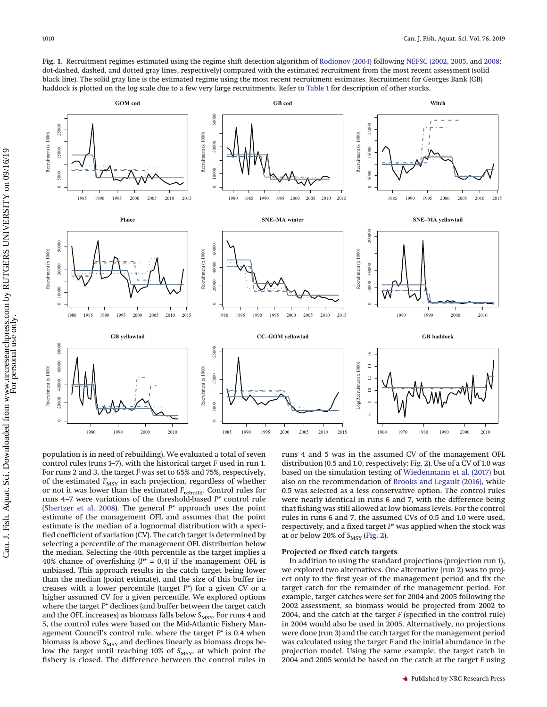<span id="page-4-0"></span>**Fig. 1.** Recruitment regimes estimated using the regime shift detection algorithm of [Rodionov \(2004\)](#page-12-17) following [NEFSC \(2002,](#page-12-11) [2005,](#page-12-12) and [2008;](#page-12-13) dot-dashed, dashed, and dotted gray lines, respectively) compared with the estimated recruitment from the most recent assessment (solid black line). The solid gray line is the estimated regime using the most recent recruitment estimates. Recruitment for Georges Bank (GB) haddock is plotted on the log scale due to a few very large recruitments. Refer to [Table 1](#page-1-0) for description of other stocks.



population is in need of rebuilding). We evaluated a total of seven control rules (runs 1–7), with the historical target *F* used in run 1. For runs 2 and 3, the target *F* was set to 65% and 75%, respectively, of the estimated  $F_{\text{MSY}}$  in each projection, regardless of whether or not it was lower than the estimated *F*rebuild. Control rules for runs 4–7 were variations of the threshold-based *P\** control rule [\(Shertzer et al. 2008\)](#page-12-19). The general *P\** approach uses the point estimate of the management OFL and assumes that the point estimate is the median of a lognormal distribution with a specified coefficient of variation (CV). The catch target is determined by selecting a percentile of the management OFL distribution below the median. Selecting the 40th percentile as the target implies a 40% chance of overfishing  $(P^* = 0.4)$  if the management OFL is unbiased. This approach results in the catch target being lower than the median (point estimate), and the size of this buffer increases with a lower percentile (target *P*\*) for a given CV or a higher assumed CV for a given percentile. We explored options where the target *P*\* declines (and buffer between the target catch and the OFL increases) as biomass falls below S<sub>MSY</sub>. For runs 4 and 5, the control rules were based on the Mid-Atlantic Fishery Management Council's control rule, where the target *P*\* is 0.4 when biomass is above  $S_{\rm MSY}$  and declines linearly as biomass drops below the target until reaching 10% of  $S_{\text{MSY}}$ , at which point the fishery is closed. The difference between the control rules in

runs 4 and 5 was in the assumed CV of the management OFL distribution (0.5 and 1.0, respectively; [Fig. 2\)](#page-5-0). Use of a CV of 1.0 was based on the simulation testing of [Wiedenmann et al. \(2017\)](#page-12-20) but also on the recommendation of [Brooks and Legault \(2016\),](#page-12-8) while 0.5 was selected as a less conservative option. The control rules were nearly identical in runs 6 and 7, with the difference being that fishing was still allowed at low biomass levels. For the control rules in runs 6 and 7, the assumed CVs of 0.5 and 1.0 were used, respectively, and a fixed target *P*\* was applied when the stock was at or below 20% of  $S_{MSY}$  [\(Fig. 2\)](#page-5-0).

#### **Projected or fixed catch targets**

In addition to using the standard projections (projection run 1), we explored two alternatives. One alternative (run 2) was to project only to the first year of the management period and fix the target catch for the remainder of the management period. For example, target catches were set for 2004 and 2005 following the 2002 assessment, so biomass would be projected from 2002 to 2004, and the catch at the target *F* (specified in the control rule) in 2004 would also be used in 2005. Alternatively, no projections were done (run 3) and the catch target for the management period was calculated using the target *F* and the initial abundance in the projection model. Using the same example, the target catch in 2004 and 2005 would be based on the catch at the target *F* using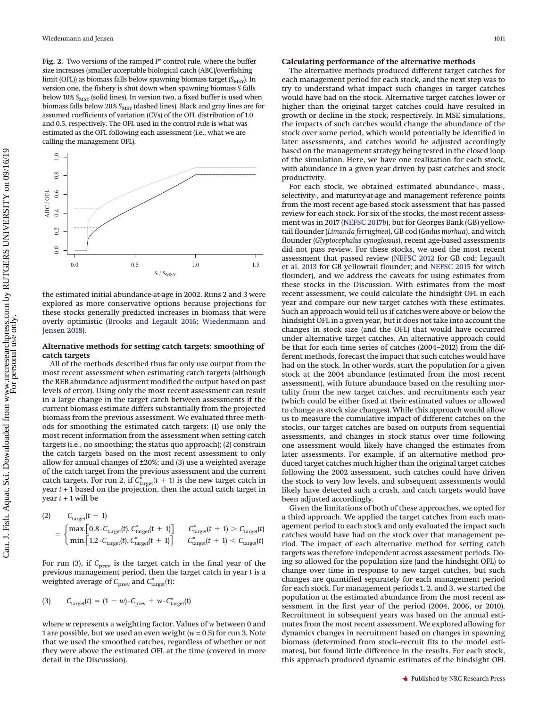<span id="page-5-0"></span>**Fig. 2.** Two versions of the ramped *P*\* control rule, where the buffer size increases (smaller acceptable biological catch (ABC)/overfishing limit (OFL)) as biomass falls below spawning biomass target (*S<sub>MSY</sub>*). In version one, the fishery is shut down when spawning biomass *S* falls below 10%  $S_{\rm MSY}$  (solid lines). In version two, a fixed buffer is used when biomass falls below 20%  $S_{\rm MSY}$  (dashed lines). Black and gray lines are for assumed coefficients of variation (CVs) of the OFL distribution of 1.0 and 0.5, respectively. The OFL used in the control rule is what was estimated as the OFL following each assessment (i.e., what we are calling the management OFL).



the estimated initial abundance-at-age in 2002. Runs 2 and 3 were explored as more conservative options because projections for these stocks generally predicted increases in biomass that were overly optimistic [\(Brooks and Legault 2016;](#page-12-8) [Wiedenmann and](#page-12-6) [Jensen 2018\)](#page-12-6).

#### **Alternative methods for setting catch targets: smoothing of catch targets**

All of the methods described thus far only use output from the most recent assessment when estimating catch targets (although the REB abundance adjustment modified the output based on past levels of error). Using only the most recent assessment can result in a large change in the target catch between assessments if the current biomass estimate differs substantially from the projected biomass from the previous assessment. We evaluated three methods for smoothing the estimated catch targets: (1) use only the most recent information from the assessment when setting catch targets (i.e., no smoothing; the status quo approach); (2) constrain the catch targets based on the most recent assessment to only allow for annual changes of ±20%; and (3) use a weighted average of the catch target from the previous assessment and the current catch targets. For run 2, if  $C_{\text{target}}^*(t + 1)$  is the new target catch in year *t* + 1 based on the projection, then the actual catch target in year  $t + 1$  will be

$$
\begin{aligned} \text{(2)} \qquad \quad & C_{\text{target}}(t\,+\,1) \\ & = \begin{cases} \max\left[0.8\cdot C_{\text{target}}(t),\, C_{\text{target}}^*(t\,+\,1)\right] & C_{\text{target}}^*(t\,+\,1) > C_{\text{target}}(t) \\ \min\left[1.2\cdot C_{\text{target}}(t),\, C_{\text{target}}^*(t\,+\,1)\right] & C_{\text{target}}^*(t\,+\,1) < C_{\text{target}}(t) \end{cases} \end{aligned}
$$

For run (3), if  $C_{\text{prev}}$  is the target catch in the final year of the previous management period, then the target catch in year *t* is a weighted average of  $C_{\text{prev}}$  and  $C^*_{\text{target}}(t)$ :

$$
(3) \qquad C_{\text{target}}(t) = (1 - w) \cdot C_{\text{prev}} + w \cdot C_{\text{target}}^*(t)
$$

where *w* represents a weighting factor. Values of *w* between 0 and 1 are possible, but we used an even weight (*w* = 0.5) for run 3. Note that we used the smoothed catches, regardless of whether or not they were above the estimated OFL at the time (covered in more detail in the Discussion).

#### **Calculating performance of the alternative methods**

The alternative methods produced different target catches for each management period for each stock, and the next step was to try to understand what impact such changes in target catches would have had on the stock. Alternative target catches lower or higher than the original target catches could have resulted in growth or decline in the stock, respectively. In MSE simulations, the impacts of such catches would change the abundance of the stock over some period, which would potentially be identified in later assessments, and catches would be adjusted accordingly based on the management strategy being tested in the closed loop of the simulation. Here, we have one realization for each stock, with abundance in a given year driven by past catches and stock productivity.

For each stock, we obtained estimated abundance-, mass-, selectivity-, and maturity-at-age and management reference points from the most recent age-based stock assessment that has passed review for each stock. For six of the stocks, the most recent assessment was in 2017 [\(NEFSC 2017](#page-12-10)*b*), but for Georges Bank (GB) yellowtail flounder (*Limanda ferruginea*), GB cod (*Gadus morhua*), and witch flounder (*Glyptocephalus cynoglossus*), recent age-based assessments did not pass review. For these stocks, we used the most recent assessment that passed review [\(NEFSC 2012](#page-12-21) for GB cod; [Legault](#page-12-22) [et al. 2013](#page-12-22) for GB yellowtail flounder; and [NEFSC 2015](#page-12-23) for witch flounder), and we address the caveats for using estimates from these stocks in the Discussion. With estimates from the most recent assessment, we could calculate the hindsight OFL in each year and compare our new target catches with these estimates. Such an approach would tell us if catches were above or below the hindsight OFL in a given year, but it does not take into account the changes in stock size (and the OFL) that would have occurred under alternative target catches. An alternative approach could be that for each time series of catches (2004–2012) from the different methods, forecast the impact that such catches would have had on the stock. In other words, start the population for a given stock at the 2004 abundance (estimated from the most recent assessment), with future abundance based on the resulting mortality from the new target catches, and recruitments each year (which could be either fixed at their estimated values or allowed to change as stock size changes). While this approach would allow us to measure the cumulative impact of different catches on the stocks, our target catches are based on outputs from sequential assessments, and changes in stock status over time following one assessment would likely have changed the estimates from later assessments. For example, if an alternative method produced target catches much higher than the original target catches following the 2002 assessment, such catches could have driven the stock to very low levels, and subsequent assessments would likely have detected such a crash, and catch targets would have been adjusted accordingly.

Given the limitations of both of these approaches, we opted for a third approach. We applied the target catches from each management period to each stock and only evaluated the impact such catches would have had on the stock over that management period. The impact of each alternative method for setting catch targets was therefore independent across assessment periods. Doing so allowed for the population size (and the hindsight OFL) to change over time in response to new target catches, but such changes are quantified separately for each management period for each stock. For management periods 1, 2, and 3, we started the population at the estimated abundance from the most recent assessment in the first year of the period (2004, 2006, or 2010). Recruitment in subsequent years was based on the annual estimates from the most recent assessment. We explored allowing for dynamics changes in recruitment based on changes in spawning biomass (determined from stock–recruit fits to the model estimates), but found little difference in the results. For each stock, this approach produced dynamic estimates of the hindsight OFL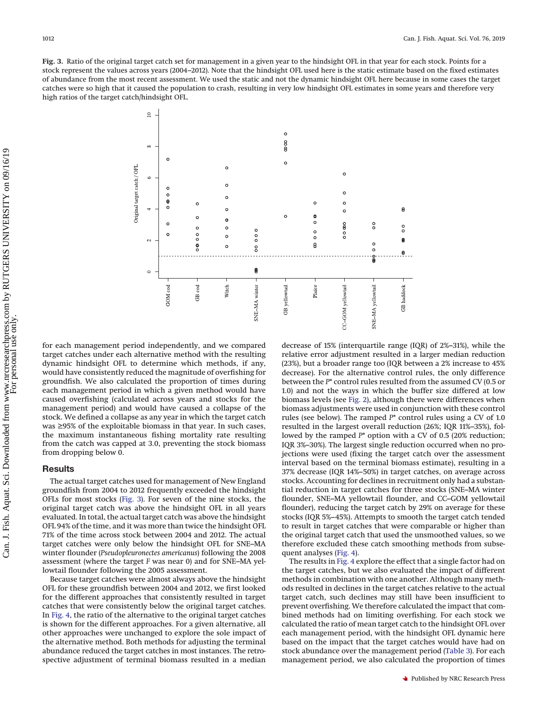<span id="page-6-0"></span>**Fig. 3.** Ratio of the original target catch set for management in a given year to the hindsight OFL in that year for each stock. Points for a stock represent the values across years (2004–2012). Note that the hindsight OFL used here is the static estimate based on the fixed estimates of abundance from the most recent assessment. We used the static and not the dynamic hindsight OFL here because in some cases the target catches were so high that it caused the population to crash, resulting in very low hindsight OFL estimates in some years and therefore very high ratios of the target catch/hindsight OFL.



for each management period independently, and we compared target catches under each alternative method with the resulting dynamic hindsight OFL to determine which methods, if any, would have consistently reduced the magnitude of overfishing for groundfish. We also calculated the proportion of times during each management period in which a given method would have caused overfishing (calculated across years and stocks for the management period) and would have caused a collapse of the stock. We defined a collapse as any year in which the target catch was ≥95% of the exploitable biomass in that year. In such cases, the maximum instantaneous fishing mortality rate resulting from the catch was capped at 3.0, preventing the stock biomass from dropping below 0.

# **Results**

The actual target catches used for management of New England groundfish from 2004 to 2012 frequently exceeded the hindsight OFLs for most stocks [\(Fig. 3\)](#page-6-0). For seven of the nine stocks, the original target catch was above the hindsight OFL in all years evaluated. In total, the actual target catch was above the hindsight OFL 94% of the time, and it was more than twice the hindsight OFL 71% of the time across stock between 2004 and 2012. The actual target catches were only below the hindsight OFL for SNE–MA winter flounder (*Pseudopleuronectes americanus*) following the 2008 assessment (where the target *F* was near 0) and for SNE–MA yellowtail flounder following the 2005 assessment.

Because target catches were almost always above the hindsight OFL for these groundfish between 2004 and 2012, we first looked for the different approaches that consistently resulted in target catches that were consistently below the original target catches. In [Fig. 4,](#page-7-0) the ratio of the alternative to the original target catches is shown for the different approaches. For a given alternative, all other approaches were unchanged to explore the sole impact of the alternative method. Both methods for adjusting the terminal abundance reduced the target catches in most instances. The retrospective adjustment of terminal biomass resulted in a median

decrease of 15% (interquartile range (IQR) of 2%–31%), while the relative error adjustment resulted in a larger median reduction (23%), but a broader range too (IQR between a 2% increase to 45% decrease). For the alternative control rules, the only difference between the *P*\* control rules resulted from the assumed CV (0.5 or 1.0) and not the ways in which the buffer size differed at low biomass levels (see [Fig. 2\)](#page-5-0), although there were differences when biomass adjustments were used in conjunction with these control rules (see below). The ramped *P*\* control rules using a CV of 1.0 resulted in the largest overall reduction (26%; IQR 11%–35%), followed by the ramped  $P^*$  option with a CV of 0.5 (20% reduction; IQR 3%–30%). The largest single reduction occurred when no projections were used (fixing the target catch over the assessment interval based on the terminal biomass estimate), resulting in a 37% decrease (IQR 14%–50%) in target catches, on average across stocks. Accounting for declines in recruitment only had a substantial reduction in target catches for three stocks (SNE–MA winter flounder, SNE–MA yellowtail flounder, and CC–GOM yellowtail flounder), reducing the target catch by 29% on average for these stocks (IQR 5%–45%). Attempts to smooth the target catch tended to result in target catches that were comparable or higher than the original target catch that used the unsmoothed values, so we therefore excluded these catch smoothing methods from subsequent analyses [\(Fig. 4\)](#page-7-0).

The results in [Fig. 4](#page-7-0) explore the effect that a single factor had on the target catches, but we also evaluated the impact of different methods in combination with one another. Although many methods resulted in declines in the target catches relative to the actual target catch, such declines may still have been insufficient to prevent overfishing. We therefore calculated the impact that combined methods had on limiting overfishing. For each stock we calculated the ratio of mean target catch to the hindsight OFL over each management period, with the hindsight OFL dynamic here based on the impact that the target catches would have had on stock abundance over the management period [\(Table 3\)](#page-3-0). For each management period, we also calculated the proportion of times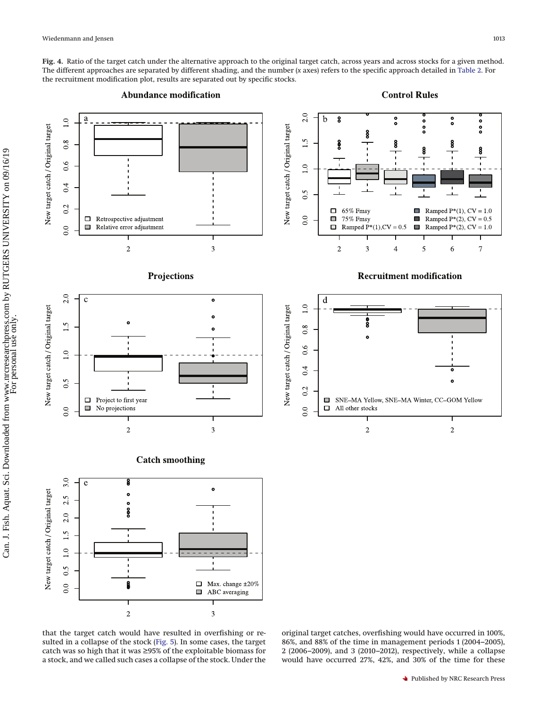<span id="page-7-0"></span>**Fig. 4.** Ratio of the target catch under the alternative approach to the original target catch, across years and across stocks for a given method. The different approaches are separated by different shading, and the number (*x* axes) refers to the specific approach detailed in [Table 2.](#page-2-0) For the recruitment modification plot, results are separated out by specific stocks.



that the target catch would have resulted in overfishing or resulted in a collapse of the stock [\(Fig. 5\)](#page-8-0). In some cases, the target catch was so high that it was ≥95% of the exploitable biomass for a stock, and we called such cases a collapse of the stock. Under the

original target catches, overfishing would have occurred in 100%, 86%, and 88% of the time in management periods 1 (2004–2005), 2 (2006–2009), and 3 (2010–2012), respectively, while a collapse would have occurred 27%, 42%, and 30% of the time for these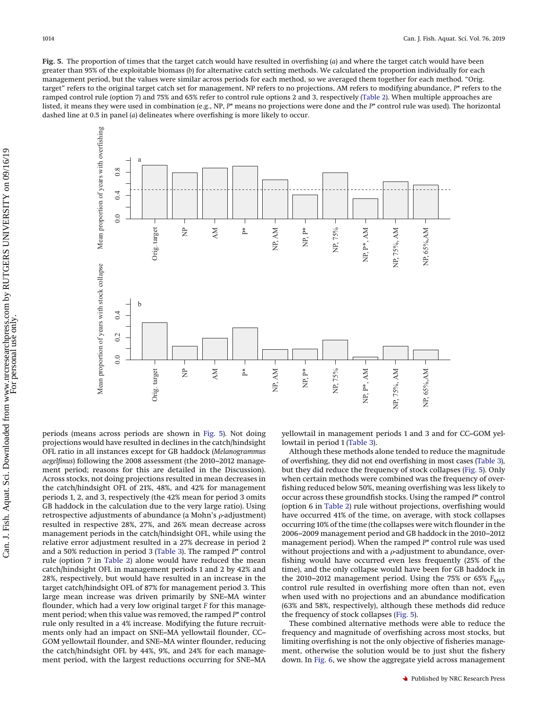<span id="page-8-0"></span>**Fig. 5.** The proportion of times that the target catch would have resulted in overfishing (*a*) and where the target catch would have been greater than 95% of the exploitable biomass (*b*) for alternative catch setting methods. We calculated the proportion individually for each management period, but the values were similar across periods for each method, so we averaged them together for each method. "Orig. target" refers to the original target catch set for management, NP refers to no projections, AM refers to modifying abundance, *P*\* refers to the ramped control rule (option 7) and 75% and 65% refer to control rule options 2 and 3, respectively [\(Table 2\)](#page-2-0). When multiple approaches are listed, it means they were used in combination (e.g., NP, *P*\* means no projections were done and the *P*\* control rule was used). The horizontal dashed line at 0.5 in panel (*a*) delineates where overfishing is more likely to occur.



periods (means across periods are shown in [Fig. 5\)](#page-8-0). Not doing projections would have resulted in declines in the catch/hindsight OFL ratio in all instances except for GB haddock (*Melanogrammus aegelfinus*) following the 2008 assessment (the 2010–2012 management period; reasons for this are detailed in the Discussion). Across stocks, not doing projections resulted in mean decreases in the catch/hindsight OFL of 21%, 48%, and 42% for management periods 1, 2, and 3, respectively (the 42% mean for period 3 omits GB haddock in the calculation due to the very large ratio). Using retrospective adjustments of abundance (a Mohn's  $\rho$ -adjustment) resulted in respective 28%, 27%, and 26% mean decrease across management periods in the catch/hindsight OFL, while using the relative error adjustment resulted in a 27% decrease in period 2 and a 50% reduction in period 3 [\(Table 3\)](#page-3-0). The ramped *P*\* control rule (option 7 in [Table 2\)](#page-2-0) alone would have reduced the mean catch/hindsight OFL in management periods 1 and 2 by 42% and 28%, respectively, but would have resulted in an increase in the target catch/hindsight OFL of 87% for management period 3. This large mean increase was driven primarily by SNE–MA winter flounder, which had a very low original target *F* for this management period; when this value was removed, the ramped *P*\* control rule only resulted in a 4% increase. Modifying the future recruitments only had an impact on SNE–MA yellowtail flounder, CC– GOM yellowtail flounder, and SNE–MA winter flounder, reducing the catch/hindsight OFL by 44%, 9%, and 24% for each management period, with the largest reductions occurring for SNE–MA yellowtail in management periods 1 and 3 and for CC–GOM yellowtail in period 1 [\(Table 3\)](#page-3-0).

Although these methods alone tended to reduce the magnitude of overfishing, they did not end overfishing in most cases [\(Table 3\)](#page-3-0), but they did reduce the frequency of stock collapses [\(Fig. 5\)](#page-8-0). Only when certain methods were combined was the frequency of overfishing reduced below 50%, meaning overfishing was less likely to occur across these groundfish stocks. Using the ramped *P*\* control (option 6 in [Table 2\)](#page-2-0) rule without projections, overfishing would have occurred 41% of the time, on average, with stock collapses occurring 10% of the time (the collapses were witch flounder in the 2006–2009 management period and GB haddock in the 2010–2012 management period). When the ramped *P*\* control rule was used without projections and with a  $\rho$ -adjustment to abundance, overfishing would have occurred even less frequently (25% of the time), and the only collapse would have been for GB haddock in the 2010–2012 management period. Using the 75% or 65%  $F_{MST}$ control rule resulted in overfishing more often than not, even when used with no projections and an abundance modification (63% and 58%, respectively), although these methods did reduce the frequency of stock collapses [\(Fig. 5\)](#page-8-0).

These combined alternative methods were able to reduce the frequency and magnitude of overfishing across most stocks, but limiting overfishing is not the only objective of fisheries management, otherwise the solution would be to just shut the fishery down. In [Fig. 6,](#page-9-0) we show the aggregate yield across management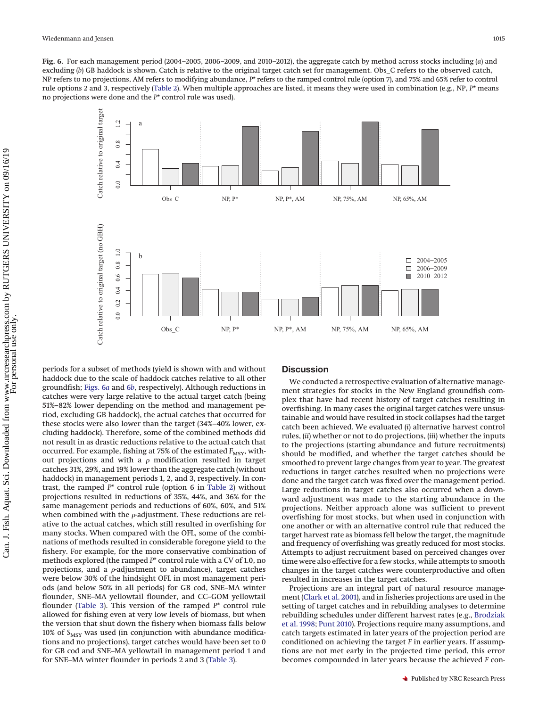<span id="page-9-0"></span>**Fig. 6.** For each management period (2004–2005, 2006–2009, and 2010–2012), the aggregate catch by method across stocks including (*a*) and excluding (*b*) GB haddock is shown. Catch is relative to the original target catch set for management. Obs\_C refers to the observed catch, NP refers to no projections, AM refers to modifying abundance, *P*\* refers to the ramped control rule (option 7), and 75% and 65% refer to control rule options 2 and 3, respectively [\(Table 2\)](#page-2-0). When multiple approaches are listed, it means they were used in combination (e.g., NP, *P*\* means no projections were done and the *P*\* control rule was used).



periods for a subset of methods (yield is shown with and without haddock due to the scale of haddock catches relative to all other groundfish; [Figs. 6](#page-9-0)*a* and [6](#page-9-0)*b*, respectively). Although reductions in catches were very large relative to the actual target catch (being 51%–82% lower depending on the method and management period, excluding GB haddock), the actual catches that occurred for these stocks were also lower than the target (34%–40% lower, excluding haddock). Therefore, some of the combined methods did not result in as drastic reductions relative to the actual catch that occurred. For example, fishing at 75% of the estimated  $F_{\text{MSY}}$ , without projections and with a  $\rho$  modification resulted in target catches 31%, 29%, and 19% lower than the aggregate catch (without haddock) in management periods 1, 2, and 3, respectively. In contrast, the ramped *P*\* control rule (option 6 in [Table 2\)](#page-2-0) without projections resulted in reductions of 35%, 44%, and 36% for the same management periods and reductions of 60%, 60%, and 51% when combined with the  $\rho$ -adjustment. These reductions are relative to the actual catches, which still resulted in overfishing for many stocks. When compared with the OFL, some of the combinations of methods resulted in considerable foregone yield to the fishery. For example, for the more conservative combination of methods explored (the ramped *P*\* control rule with a CV of 1.0, no projections, and a  $\rho$ -adjustment to abundance), target catches were below 30% of the hindsight OFL in most management periods (and below 50% in all periods) for GB cod, SNE–MA winter flounder, SNE–MA yellowtail flounder, and CC–GOM yellowtail flounder [\(Table 3\)](#page-3-0). This version of the ramped *P*\* control rule allowed for fishing even at very low levels of biomass, but when the version that shut down the fishery when biomass falls below 10% of S<sub>MSY</sub> was used (in conjunction with abundance modifications and no projections), target catches would have been set to 0 for GB cod and SNE–MA yellowtail in management period 1 and for SNE–MA winter flounder in periods 2 and 3 [\(Table 3\)](#page-3-0).

# **Discussion**

We conducted a retrospective evaluation of alternative management strategies for stocks in the New England groundfish complex that have had recent history of target catches resulting in overfishing. In many cases the original target catches were unsustainable and would have resulted in stock collapses had the target catch been achieved. We evaluated (*i*) alternative harvest control rules, (*ii*) whether or not to do projections, (*iii*) whether the inputs to the projections (starting abundance and future recruitments) should be modified, and whether the target catches should be smoothed to prevent large changes from year to year. The greatest reductions in target catches resulted when no projections were done and the target catch was fixed over the management period. Large reductions in target catches also occurred when a downward adjustment was made to the starting abundance in the projections. Neither approach alone was sufficient to prevent overfishing for most stocks, but when used in conjunction with one another or with an alternative control rule that reduced the target harvest rate as biomass fell below the target, the magnitude and frequency of overfishing was greatly reduced for most stocks. Attempts to adjust recruitment based on perceived changes over time were also effective for a few stocks, while attempts to smooth changes in the target catches were counterproductive and often resulted in increases in the target catches.

Projections are an integral part of natural resource management [\(Clark et al. 2001\)](#page-12-24), and in fisheries projections are used in the setting of target catches and in rebuilding analyses to determine rebuilding schedules under different harvest rates (e.g., [Brodziak](#page-12-15) [et al. 1998;](#page-12-15) [Punt 2010\)](#page-12-25). Projections require many assumptions, and catch targets estimated in later years of the projection period are conditioned on achieving the target *F* in earlier years. If assumptions are not met early in the projected time period, this error becomes compounded in later years because the achieved *F* con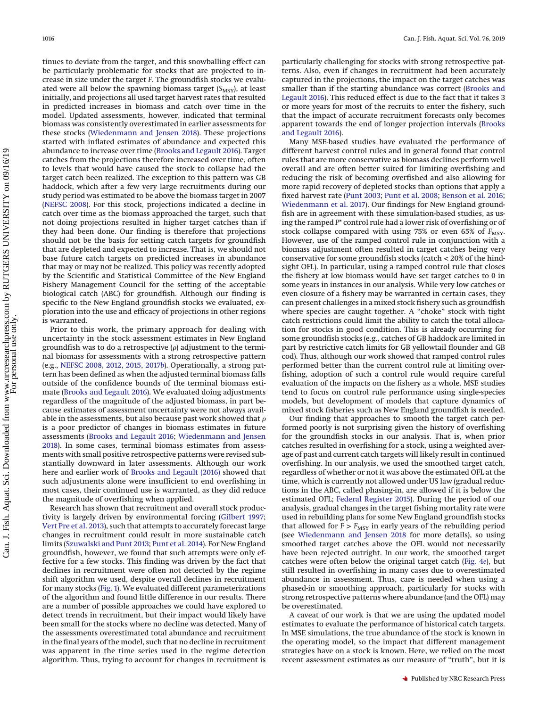tinues to deviate from the target, and this snowballing effect can be particularly problematic for stocks that are projected to increase in size under the target *F*. The groundfish stocks we evaluated were all below the spawning biomass target  $(S_{MSY})$ , at least initially, and projections all used target harvest rates that resulted in predicted increases in biomass and catch over time in the model. Updated assessments, however, indicated that terminal biomass was consistently overestimated in earlier assessments for these stocks [\(Wiedenmann and Jensen 2018\)](#page-12-6). These projections started with inflated estimates of abundance and expected this abundance to increase over time [\(Brooks and Legault 2016\)](#page-12-8). Target catches from the projections therefore increased over time, often to levels that would have caused the stock to collapse had the target catch been realized. The exception to this pattern was GB haddock, which after a few very large recruitments during our study period was estimated to be above the biomass target in 2007 [\(NEFSC 2008\)](#page-12-13). For this stock, projections indicated a decline in catch over time as the biomass approached the target, such that not doing projections resulted in higher target catches than if they had been done. Our finding is therefore that projections should not be the basis for setting catch targets for groundfish that are depleted and expected to increase. That is, we should not base future catch targets on predicted increases in abundance that may or may not be realized. This policy was recently adopted by the Scientific and Statistical Committee of the New England Fishery Management Council for the setting of the acceptable biological catch (ABC) for groundfish. Although our finding is specific to the New England groundfish stocks we evaluated, exploration into the use and efficacy of projections in other regions is warranted.

Prior to this work, the primary approach for dealing with uncertainty in the stock assessment estimates in New England groundfish was to do a retrospective ( $\rho$ ) adjustment to the terminal biomass for assessments with a strong retrospective pattern (e.g., [NEFSC 2008,](#page-12-13) [2012,](#page-12-21) [2015,](#page-12-23) [2017](#page-12-10)*b*). Operationally, a strong pattern has been defined as when the adjusted terminal biomass falls outside of the confidence bounds of the terminal biomass estimate [\(Brooks and Legault 2016\)](#page-12-8). We evaluated doing adjustments regardless of the magnitude of the adjusted biomass, in part because estimates of assessment uncertainty were not always available in the assessments, but also because past work showed that  $\rho$ is a poor predictor of changes in biomass estimates in future assessments [\(Brooks and Legault 2016;](#page-12-8) [Wiedenmann and Jensen](#page-12-6) [2018\)](#page-12-6). In some cases, terminal biomass estimates from assessments with small positive retrospective patterns were revised substantially downward in later assessments. Although our work here and earlier work of [Brooks and Legault \(2016\)](#page-12-8) showed that such adjustments alone were insufficient to end overfishing in most cases, their continued use is warranted, as they did reduce the magnitude of overfishing when applied.

Research has shown that recruitment and overall stock productivity is largely driven by environmental forcing [\(Gilbert 1997;](#page-12-26) [Vert Pre et al. 2013\)](#page-12-18), such that attempts to accurately forecast large changes in recruitment could result in more sustainable catch limits [\(Szuwalski and Punt 2013;](#page-12-27) [Punt et al. 2014\)](#page-12-28). For New England groundfish, however, we found that such attempts were only effective for a few stocks. This finding was driven by the fact that declines in recruitment were often not detected by the regime shift algorithm we used, despite overall declines in recruitment for many stocks [\(Fig. 1\)](#page-4-0). We evaluated different parameterizations of the algorithm and found little difference in our results. There are a number of possible approaches we could have explored to detect trends in recruitment, but their impact would likely have been small for the stocks where no decline was detected. Many of the assessments overestimated total abundance and recruitment in the final years of the model, such that no decline in recruitment was apparent in the time series used in the regime detection algorithm. Thus, trying to account for changes in recruitment is particularly challenging for stocks with strong retrospective patterns. Also, even if changes in recruitment had been accurately captured in the projections, the impact on the target catches was smaller than if the starting abundance was correct [\(Brooks and](#page-12-8) [Legault 2016\)](#page-12-8). This reduced effect is due to the fact that it takes 3 or more years for most of the recruits to enter the fishery, such that the impact of accurate recruitment forecasts only becomes apparent towards the end of longer projection intervals [\(Brooks](#page-12-8) [and Legault 2016\)](#page-12-8).

Many MSE-based studies have evaluated the performance of different harvest control rules and in general found that control rules that are more conservative as biomass declines perform well overall and are often better suited for limiting overfishing and reducing the risk of becoming overfished and also allowing for more rapid recovery of depleted stocks than options that apply a fixed harvest rate [\(Punt 2003;](#page-12-29) [Punt et al. 2008;](#page-12-30) [Benson et al. 2016;](#page-12-31) [Wiedenmann et al. 2017\)](#page-12-20). Our findings for New England groundfish are in agreement with these simulation-based studies, as using the ramped *P*\* control rule had a lower risk of overfishing or of stock collapse compared with using 75% or even 65% of  $F_{\text{MSY}}$ . However, use of the ramped control rule in conjunction with a biomass adjustment often resulted in target catches being very conservative for some groundfish stocks (catch < 20% of the hindsight OFL). In particular, using a ramped control rule that closes the fishery at low biomass would have set target catches to 0 in some years in instances in our analysis. While very low catches or even closure of a fishery may be warranted in certain cases, they can present challenges in a mixed stock fishery such as groundfish where species are caught together. A "choke" stock with tight catch restrictions could limit the ability to catch the total allocation for stocks in good condition. This is already occurring for some groundfish stocks (e.g., catches of GB haddock are limited in part by restrictive catch limits for GB yellowtail flounder and GB cod). Thus, although our work showed that ramped control rules performed better than the current control rule at limiting overfishing, adoption of such a control rule would require careful evaluation of the impacts on the fishery as a whole. MSE studies tend to focus on control rule performance using single-species models, but development of models that capture dynamics of mixed stock fisheries such as New England groundfish is needed.

Our finding that approaches to smooth the target catch performed poorly is not surprising given the history of overfishing for the groundfish stocks in our analysis. That is, when prior catches resulted in overfishing for a stock, using a weighted average of past and current catch targets will likely result in continued overfishing. In our analysis, we used the smoothed target catch, regardless of whether or not it was above the estimated OFL at the time, which is currently not allowed under US law (gradual reductions in the ABC, called phasing-in, are allowed if it is below the estimated OFL; [Federal Register 2015\)](#page-12-32). During the period of our analysis, gradual changes in the target fishing mortality rate were used in rebuilding plans for some New England groundfish stocks that allowed for  $F > F_{MSY}$  in early years of the rebuilding period (see [Wiedenmann and Jensen 2018](#page-12-6) for more details), so using smoothed target catches above the OFL would not necessarily have been rejected outright. In our work, the smoothed target catches were often below the original target catch [\(Fig. 4](#page-7-0)*e*), but still resulted in overfishing in many cases due to overestimated abundance in assessment. Thus, care is needed when using a phased-in or smoothing approach, particularly for stocks with strong retrospective patterns where abundance (and the OFL) may be overestimated.

A caveat of our work is that we are using the updated model estimates to evaluate the performance of historical catch targets. In MSE simulations, the true abundance of the stock is known in the operating model, so the impact that different management strategies have on a stock is known. Here, we relied on the most recent assessment estimates as our measure of "truth", but it is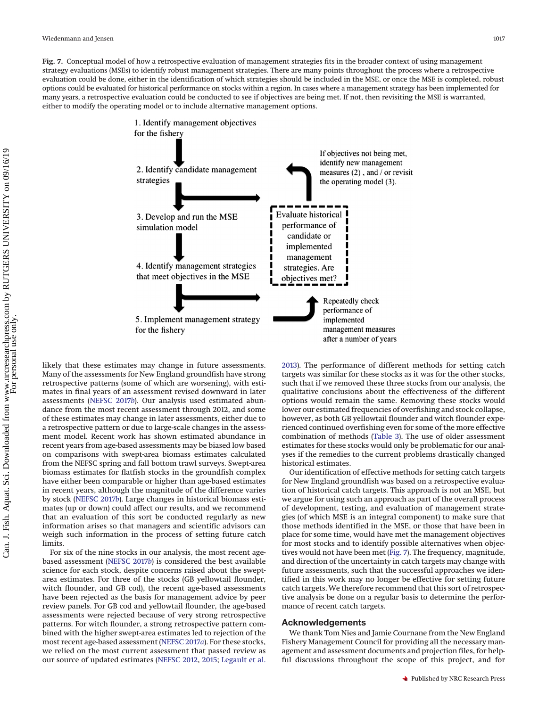<span id="page-11-0"></span>**Fig. 7.** Conceptual model of how a retrospective evaluation of management strategies fits in the broader context of using management strategy evaluations (MSEs) to identify robust management strategies. There are many points throughout the process where a retrospective evaluation could be done, either in the identification of which strategies should be included in the MSE, or once the MSE is completed, robust options could be evaluated for historical performance on stocks within a region. In cases where a management strategy has been implemented for many years, a retrospective evaluation could be conducted to see if objectives are being met. If not, then revisiting the MSE is warranted, either to modify the operating model or to include alternative management options.



likely that these estimates may change in future assessments. Many of the assessments for New England groundfish have strong retrospective patterns (some of which are worsening), with estimates in final years of an assessment revised downward in later assessments [\(NEFSC 2017](#page-12-10)*b*). Our analysis used estimated abundance from the most recent assessment through 2012, and some of these estimates may change in later assessments, either due to a retrospective pattern or due to large-scale changes in the assessment model. Recent work has shown estimated abundance in recent years from age-based assessments may be biased low based on comparisons with swept-area biomass estimates calculated from the NEFSC spring and fall bottom trawl surveys. Swept-area biomass estimates for flatfish stocks in the groundfish complex have either been comparable or higher than age-based estimates in recent years, although the magnitude of the difference varies by stock [\(NEFSC 2017](#page-12-10)*b*). Large changes in historical biomass estimates (up or down) could affect our results, and we recommend that an evaluation of this sort be conducted regularly as new information arises so that managers and scientific advisors can weigh such information in the process of setting future catch limits.

For six of the nine stocks in our analysis, the most recent agebased assessment [\(NEFSC 2017](#page-12-10)*b*) is considered the best available science for each stock, despite concerns raised about the sweptarea estimates. For three of the stocks (GB yellowtail flounder, witch flounder, and GB cod), the recent age-based assessments have been rejected as the basis for management advice by peer review panels. For GB cod and yellowtail flounder, the age-based assessments were rejected because of very strong retrospective patterns. For witch flounder, a strong retrospective pattern combined with the higher swept-area estimates led to rejection of the most recent age-based assessment [\(NEFSC 2017](#page-12-33)*a*). For these stocks, we relied on the most current assessment that passed review as our source of updated estimates [\(NEFSC 2012,](#page-12-21) [2015;](#page-12-23) [Legault et al.](#page-12-22) [2013\)](#page-12-22). The performance of different methods for setting catch targets was similar for these stocks as it was for the other stocks, such that if we removed these three stocks from our analysis, the qualitative conclusions about the effectiveness of the different options would remain the same. Removing these stocks would lower our estimated frequencies of overfishing and stock collapse, however, as both GB yellowtail flounder and witch flounder experienced continued overfishing even for some of the more effective combination of methods [\(Table 3\)](#page-3-0). The use of older assessment estimates for these stocks would only be problematic for our analyses if the remedies to the current problems drastically changed historical estimates.

Our identification of effective methods for setting catch targets for New England groundfish was based on a retrospective evaluation of historical catch targets. This approach is not an MSE, but we argue for using such an approach as part of the overall process of development, testing, and evaluation of management strategies (of which MSE is an integral component) to make sure that those methods identified in the MSE, or those that have been in place for some time, would have met the management objectives for most stocks and to identify possible alternatives when objectives would not have been met [\(Fig. 7\)](#page-11-0). The frequency, magnitude, and direction of the uncertainty in catch targets may change with future assessments, such that the successful approaches we identified in this work may no longer be effective for setting future catch targets. We therefore recommend that this sort of retrospective analysis be done on a regular basis to determine the performance of recent catch targets.

#### **Acknowledgements**

We thank Tom Nies and Jamie Cournane from the New England Fishery Management Council for providing all the necessary management and assessment documents and projection files, for helpful discussions throughout the scope of this project, and for